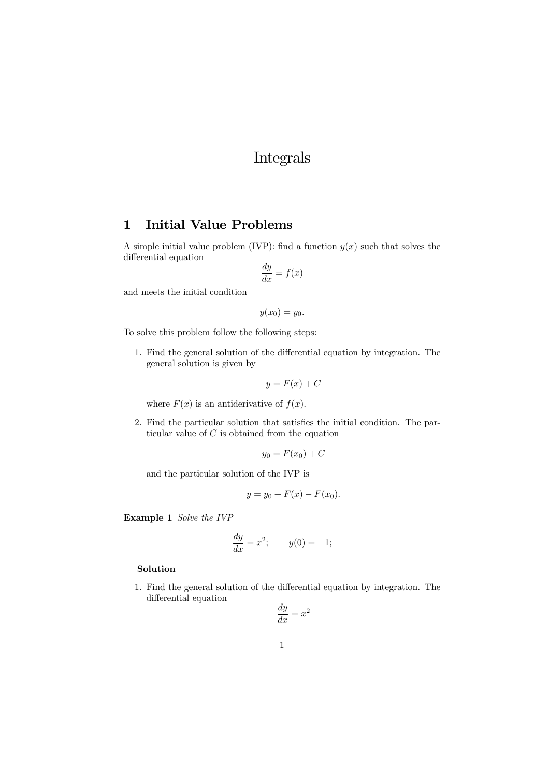# Integrals

# 1 Initial Value Problems

A simple initial value problem (IVP): find a function  $y(x)$  such that solves the differential equation

$$
\frac{dy}{dx} = f(x)
$$

and meets the initial condition

 $y(x_0) = y_0.$ 

To solve this problem follow the following steps:

1. Find the general solution of the differential equation by integration. The general solution is given by

$$
y = F(x) + C
$$

where  $F(x)$  is an antiderivative of  $f(x)$ .

2. Find the particular solution that satisfies the initial condition. The particular value of  $C$  is obtained from the equation

$$
y_0 = F(x_0) + C
$$

and the particular solution of the IVP is

$$
y = y_0 + F(x) - F(x_0).
$$

Example 1 Solve the IVP

$$
\frac{dy}{dx} = x^2; \qquad y(0) = -1;
$$

### Solution

1. Find the general solution of the differential equation by integration. The differential equation

$$
\frac{dy}{dx} = x^2
$$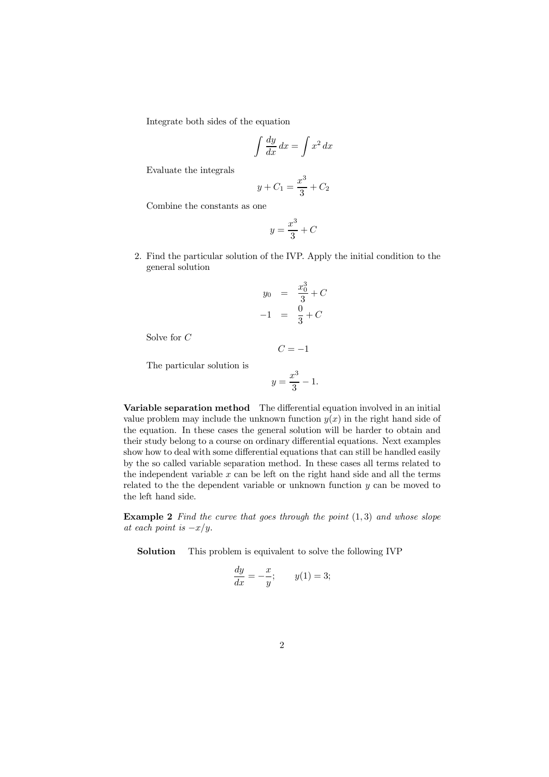Integrate both sides of the equation

$$
\int \frac{dy}{dx} \, dx = \int x^2 \, dx
$$

Evaluate the integrals

$$
y + C_1 = \frac{x^3}{3} + C_2
$$

Combine the constants as one

$$
y = \frac{x^3}{3} + C
$$

2. Find the particular solution of the IVP. Apply the initial condition to the general solution

$$
y_0 = \frac{x_0^3}{3} + C
$$
  
-1 =  $\frac{0}{3}$  + C

Solve for C

The particular solution is

$$
y = \frac{x^3}{3} - 1.
$$

 $C = -1$ 

Variable separation method The differential equation involved in an initial value problem may include the unknown function  $y(x)$  in the right hand side of the equation. In these cases the general solution will be harder to obtain and their study belong to a course on ordinary differential equations. Next examples show how to deal with some differential equations that can still be handled easily by the so called variable separation method. In these cases all terms related to the independent variable  $x$  can be left on the right hand side and all the terms related to the the dependent variable or unknown function y can be moved to the left hand side.

**Example 2** Find the curve that goes through the point  $(1, 3)$  and whose slope at each point is  $-x/y$ .

Solution This problem is equivalent to solve the following IVP

$$
\frac{dy}{dx} = -\frac{x}{y}; \qquad y(1) = 3;
$$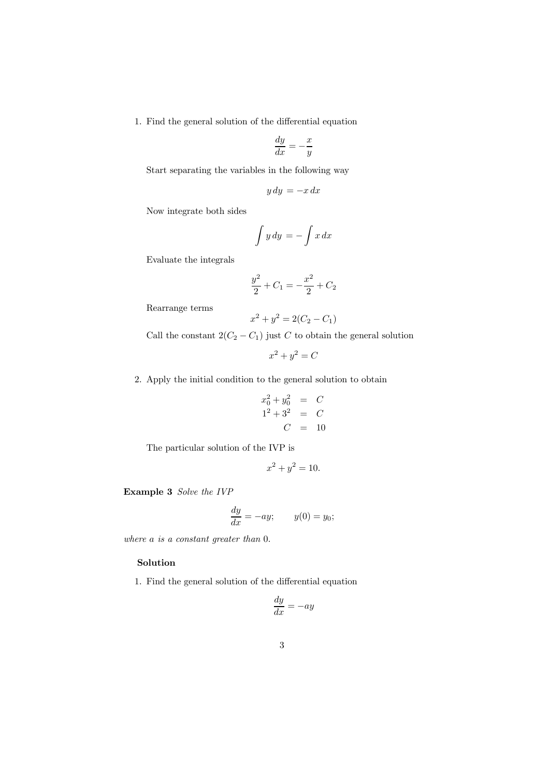1. Find the general solution of the differential equation

$$
\frac{dy}{dx} = -\frac{x}{y}
$$

Start separating the variables in the following way

$$
y\,dy = -x\,dx
$$

Now integrate both sides

$$
\int y \, dy = -\int x \, dx
$$

Evaluate the integrals

$$
\frac{y^2}{2} + C_1 = -\frac{x^2}{2} + C_2
$$

Rearrange terms

$$
x^2 + y^2 = 2(C_2 - C_1)
$$

Call the constant  $2(C_2 - C_1)$  just C to obtain the general solution

$$
x^2 + y^2 = C
$$

2. Apply the initial condition to the general solution to obtain

$$
x_0^2 + y_0^2 = C
$$
  

$$
1^2 + 3^2 = C
$$
  

$$
C = 10
$$

The particular solution of the IVP is

$$
x^2 + y^2 = 10.
$$

Example 3 Solve the IVP

$$
\frac{dy}{dx} = -ay; \qquad y(0) = y_0;
$$

where a is a constant greater than  $0$ .

### Solution

1. Find the general solution of the differential equation

$$
\frac{dy}{dx} = -ay
$$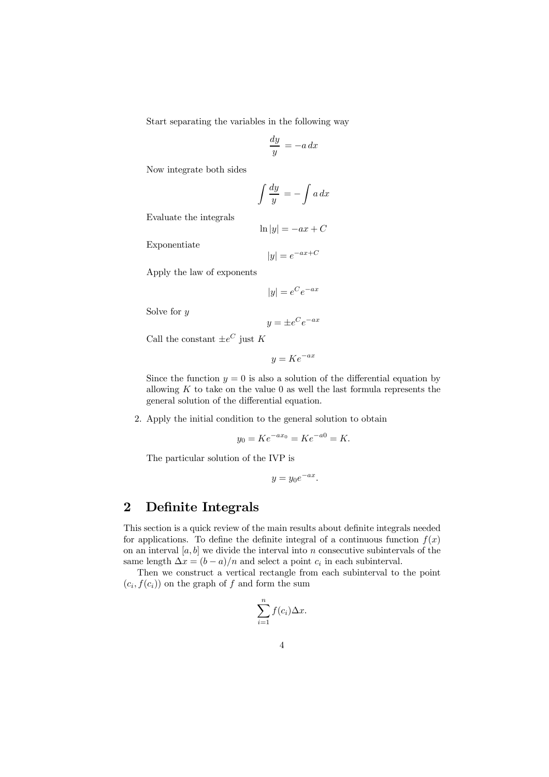Start separating the variables in the following way

$$
\frac{dy}{y} = -a\,dx
$$

Now integrate both sides

$$
\int \frac{dy}{y} = -\int a \, dx
$$

Evaluate the integrals

$$
\ln|y| = -ax + C
$$

Exponentiate

 $|y| = e^{-ax+C}$ 

Apply the law of exponents

$$
\vert y\vert=e^Ce^{-ax}
$$

Solve for  $y$ 

$$
y = \pm e^C e^{-ax}
$$

Call the constant  $\pm e^C$  just K

$$
y = Ke^{-ax}
$$

Since the function  $y = 0$  is also a solution of the differential equation by allowing  $K$  to take on the value 0 as well the last formula represents the general solution of the differential equation.

2. Apply the initial condition to the general solution to obtain

$$
y_0 = Ke^{-ax_0} = Ke^{-a0} = K.
$$

The particular solution of the IVP is

$$
y = y_0 e^{-ax}.
$$

# 2 Definite Integrals

This section is a quick review of the main results about definite integrals needed for applications. To define the definite integral of a continuous function  $f(x)$ on an interval  $[a, b]$  we divide the interval into n consecutive subintervals of the same length  $\Delta x = (b - a)/n$  and select a point  $c_i$  in each subinterval.

Then we construct a vertical rectangle from each subinterval to the point  $(c_i, f(c_i))$  on the graph of f and form the sum

$$
\sum_{i=1}^{n} f(c_i) \Delta x.
$$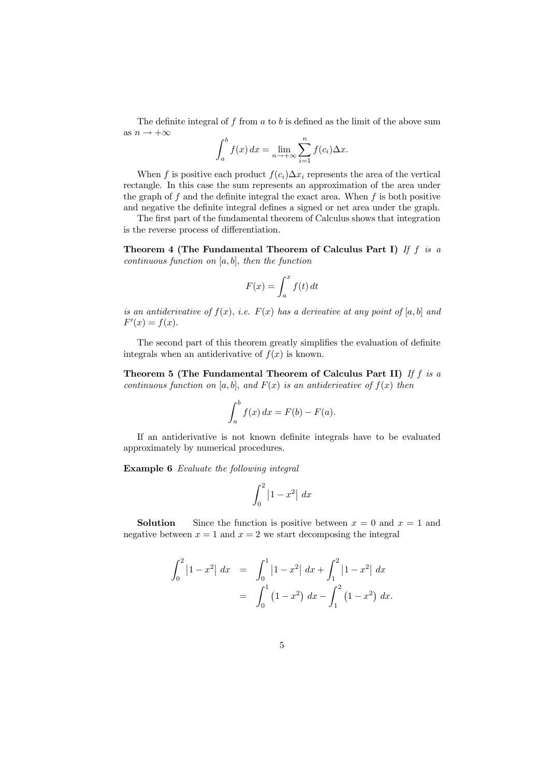The definite integral of  $f$  from  $a$  to  $b$  is defined as the limit of the above sum as  $n \to +\infty$ 

$$
\int_a^b f(x) dx = \lim_{n \to +\infty} \sum_{i=1}^n f(c_i) \Delta x.
$$

When f is positive each product  $f(c_i)\Delta x_i$  represents the area of the vertical rectangle. In this case the sum represents an approximation of the area under the graph of  $f$  and the definite integral the exact area. When  $f$  is both positive and negative the definite integral defines a signed or net area under the graph.

The first part of the fundamental theorem of Calculus shows that integration is the reverse process of differentiation.

Theorem 4 (The Fundamental Theorem of Calculus Part I) If  $f$  is a continuous function on  $[a, b]$ , then the function

$$
F(x) = \int_{a}^{x} f(t) dt
$$

is an antiderivative of  $f(x)$ , i.e.  $F(x)$  has a derivative at any point of [a, b] and  $F'(x) = f(x).$ 

The second part of this theorem greatly simplifies the evaluation of definite integrals when an antiderivative of  $f(x)$  is known.

Theorem 5 (The Fundamental Theorem of Calculus Part II) If  $f$  is a continuous function on [a, b], and  $F(x)$  is an antiderivative of  $f(x)$  then

$$
\int_a^b f(x) \, dx = F(b) - F(a).
$$

If an antiderivative is not known definite integrals have to be evaluated approximately by numerical procedures.

Example 6 Evaluate the following integral

$$
\int_0^2 \left| 1 - x^2 \right| \, dx
$$

**Solution** Since the function is positive between  $x = 0$  and  $x = 1$  and negative between  $x = 1$  and  $x = 2$  we start decomposing the integral

$$
\int_0^2 |1-x^2| dx = \int_0^1 |1-x^2| dx + \int_1^2 |1-x^2| dx
$$
  
= 
$$
\int_0^1 (1-x^2) dx - \int_1^2 (1-x^2) dx.
$$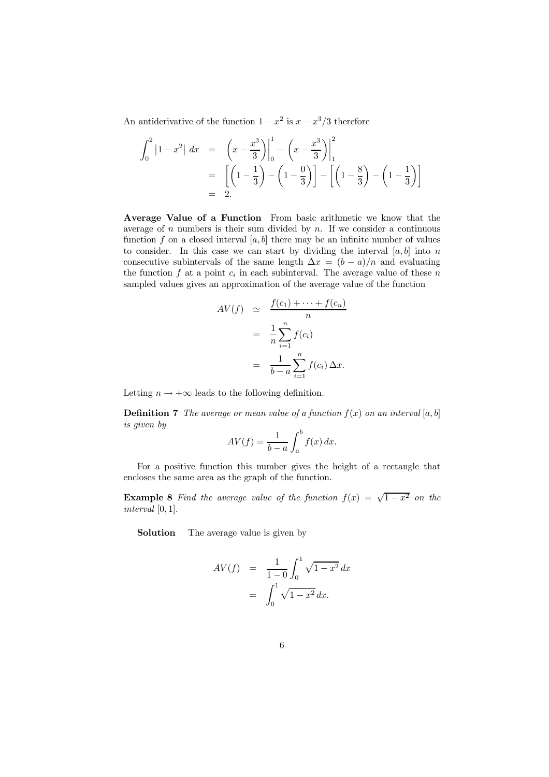An antiderivative of the function  $1 - x^2$  is  $x - x^3/3$  therefore

$$
\int_0^2 |1 - x^2| dx = \left(x - \frac{x^3}{3}\right)\Big|_0^1 - \left(x - \frac{x^3}{3}\right)\Big|_1^2
$$
  
=  $\left[\left(1 - \frac{1}{3}\right) - \left(1 - \frac{0}{3}\right)\right] - \left[\left(1 - \frac{8}{3}\right) - \left(1 - \frac{1}{3}\right)\right]$   
= 2.

Average Value of a Function From basic arithmetic we know that the average of  $n$  numbers is their sum divided by  $n$ . If we consider a continuous function f on a closed interval  $[a, b]$  there may be an infinite number of values to consider. In this case we can start by dividing the interval  $[a, b]$  into n consecutive subintervals of the same length  $\Delta x = (b - a)/n$  and evaluating the function  $f$  at a point  $c_i$  in each subinterval. The average value of these  $n$ sampled values gives an approximation of the average value of the function

$$
AV(f) \simeq \frac{f(c_1) + \dots + f(c_n)}{n}
$$

$$
= \frac{1}{n} \sum_{i=1}^n f(c_i)
$$

$$
= \frac{1}{b-a} \sum_{i=1}^n f(c_i) \Delta x.
$$

Letting  $n \to +\infty$  leads to the following definition.

**Definition 7** The average or mean value of a function  $f(x)$  on an interval [a, b] is given by

$$
AV(f) = \frac{1}{b-a} \int_a^b f(x) \, dx.
$$

For a positive function this number gives the height of a rectangle that encloses the same area as the graph of the function.

**Example 8** Find the average value of the function  $f(x) = \sqrt{1-x^2}$  on the interval [0, 1].

Solution The average value is given by

$$
AV(f) = \frac{1}{1-0} \int_0^1 \sqrt{1-x^2} \, dx
$$

$$
= \int_0^1 \sqrt{1-x^2} \, dx.
$$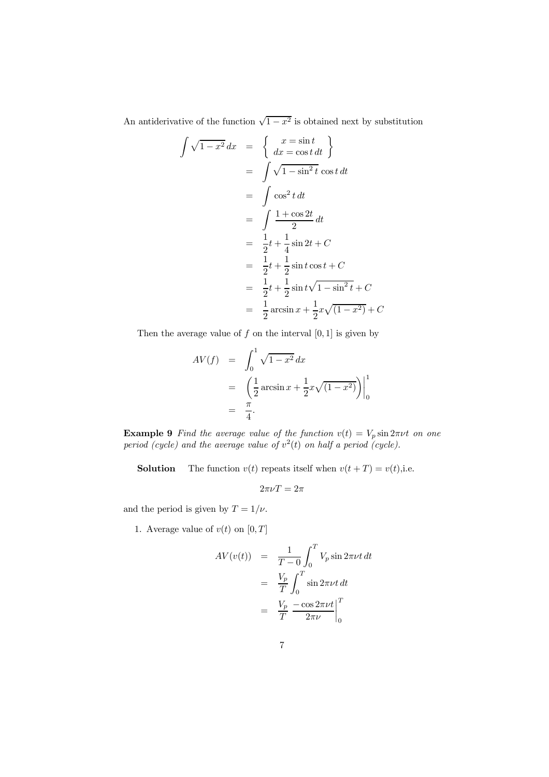An antiderivative of the function  $\sqrt{1-x^2}$  is obtained next by substitution

$$
\int \sqrt{1-x^2} \, dx = \begin{cases}\nx = \sin t \\
dx = \cos t \, dt\n\end{cases}
$$
\n
$$
= \int \sqrt{1-\sin^2 t} \cos t \, dt
$$
\n
$$
= \int \cos^2 t \, dt
$$
\n
$$
= \int \frac{1+\cos 2t}{2} \, dt
$$
\n
$$
= \frac{1}{2}t + \frac{1}{4}\sin 2t + C
$$
\n
$$
= \frac{1}{2}t + \frac{1}{2}\sin t \cos t + C
$$
\n
$$
= \frac{1}{2}t + \frac{1}{2}\sin t \sqrt{1-\sin^2 t} + C
$$
\n
$$
= \frac{1}{2}\arcsin x + \frac{1}{2}x\sqrt{(1-x^2)} + C
$$

Then the average value of  $f$  on the interval  $[0, 1]$  is given by

$$
AV(f) = \int_0^1 \sqrt{1 - x^2} \, dx
$$
  
=  $\left( \frac{1}{2} \arcsin x + \frac{1}{2} x \sqrt{(1 - x^2)} \right) \Big|_0^1$   
=  $\frac{\pi}{4}$ .

**Example 9** Find the average value of the function  $v(t) = V_p \sin 2\pi \nu t$  on one period (cycle) and the average value of  $v^2(t)$  on half a period (cycle).

**Solution** The function  $v(t)$  repeats itself when  $v(t + T) = v(t)$ , i.e.

$$
2\pi\nu T=2\pi
$$

and the period is given by  $T = 1/\nu$ .

1. Average value of  $v(t)$  on  $[0, T]$ 

$$
AV(v(t)) = \frac{1}{T - 0} \int_0^T V_p \sin 2\pi \nu t \, dt
$$

$$
= \frac{V_p}{T} \int_0^T \sin 2\pi \nu t \, dt
$$

$$
= \frac{V_p}{T} \left. \frac{-\cos 2\pi \nu t}{2\pi \nu} \right|_0^T
$$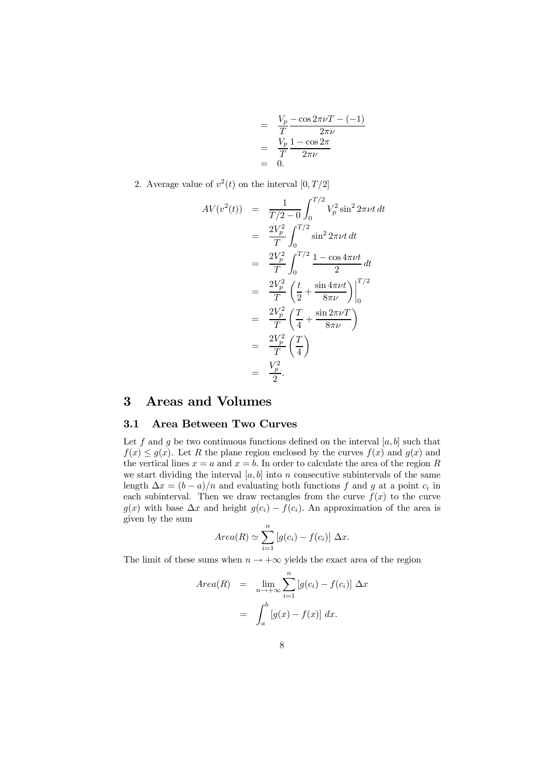$$
= \frac{V_p - \cos 2\pi\nu T - (-1)}{T}
$$

$$
= \frac{V_p}{T} \frac{1 - \cos 2\pi}{2\pi\nu}
$$

$$
= 0.
$$

2. Average value of  $v^2(t)$  on the interval  $[0, T/2]$ 

$$
AV(v^{2}(t)) = \frac{1}{T/2 - 0} \int_{0}^{T/2} V_{p}^{2} \sin^{2} 2\pi \nu t \, dt
$$
  
\n
$$
= \frac{2V_{p}^{2}}{T} \int_{0}^{T/2} \sin^{2} 2\pi \nu t \, dt
$$
  
\n
$$
= \frac{2V_{p}^{2}}{T} \int_{0}^{T/2} \frac{1 - \cos 4\pi \nu t}{2} \, dt
$$
  
\n
$$
= \frac{2V_{p}^{2}}{T} \left(\frac{t}{2} + \frac{\sin 4\pi \nu t}{8\pi \nu}\right) \Big|_{0}^{T/2}
$$
  
\n
$$
= \frac{2V_{p}^{2}}{T} \left(\frac{T}{4} + \frac{\sin 2\pi \nu T}{8\pi \nu}\right)
$$
  
\n
$$
= \frac{2V_{p}^{2}}{T} \left(\frac{T}{4}\right)
$$
  
\n
$$
= \frac{V_{p}^{2}}{2}.
$$

# 3 Areas and Volumes

## 3.1 Area Between Two Curves

Let f and g be two continuous functions defined on the interval  $[a, b]$  such that  $f(x) \leq g(x)$ . Let R the plane region enclosed by the curves  $f(x)$  and  $g(x)$  and the vertical lines  $x = a$  and  $x = b$ . In order to calculate the area of the region R we start dividing the interval  $[a, b]$  into n consecutive subintervals of the same length  $\Delta x = (b - a)/n$  and evaluating both functions f and g at a point  $c_i$  in each subinterval. Then we draw rectangles from the curve  $f(x)$  to the curve  $g(x)$  with base  $\Delta x$  and height  $g(c_i) - f(c_i)$ . An approximation of the area is given by the sum

$$
Area(R) \simeq \sum_{i=1}^{n} [g(c_i) - f(c_i)] \Delta x.
$$

The limit of these sums when  $n \to +\infty$  yields the exact area of the region

$$
Area(R) = \lim_{n \to +\infty} \sum_{i=1}^{n} [g(c_i) - f(c_i)] \Delta x
$$

$$
= \int_{a}^{b} [g(x) - f(x)] dx.
$$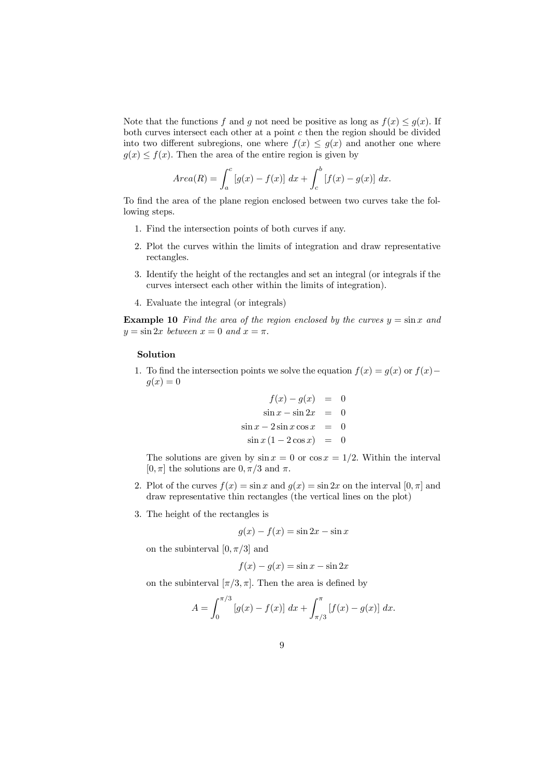Note that the functions f and g not need be positive as long as  $f(x) \leq g(x)$ . If both curves intersect each other at a point  $c$  then the region should be divided into two different subregions, one where  $f(x) \leq g(x)$  and another one where  $g(x) \leq f(x)$ . Then the area of the entire region is given by

$$
Area(R) = \int_{a}^{c} [g(x) - f(x)] \, dx + \int_{c}^{b} [f(x) - g(x)] \, dx.
$$

To find the area of the plane region enclosed between two curves take the following steps.

- 1. Find the intersection points of both curves if any.
- 2. Plot the curves within the limits of integration and draw representative rectangles.
- 3. Identify the height of the rectangles and set an integral (or integrals if the curves intersect each other within the limits of integration).
- 4. Evaluate the integral (or integrals)

**Example 10** Find the area of the region enclosed by the curves  $y = \sin x$  and  $y = \sin 2x$  between  $x = 0$  and  $x = \pi$ .

#### Solution

1. To find the intersection points we solve the equation  $f(x) = g(x)$  or  $f(x)$ −  $g(x)=0$ 

$$
f(x) - g(x) = 0
$$
  
\n
$$
\sin x - \sin 2x = 0
$$
  
\n
$$
\sin x - 2\sin x \cos x = 0
$$
  
\n
$$
\sin x (1 - 2\cos x) = 0
$$

The solutions are given by  $\sin x = 0$  or  $\cos x = 1/2$ . Within the interval  $[0, \pi]$  the solutions are  $0, \pi/3$  and  $\pi$ .

- 2. Plot of the curves  $f(x) = \sin x$  and  $g(x) = \sin 2x$  on the interval  $[0, \pi]$  and draw representative thin rectangles (the vertical lines on the plot)
- 3. The height of the rectangles is

$$
g(x) - f(x) = \sin 2x - \sin x
$$

on the subinterval  $[0, \pi/3]$  and

$$
f(x) - g(x) = \sin x - \sin 2x
$$

on the subinterval  $[\pi/3, \pi]$ . Then the area is defined by

$$
A = \int_0^{\pi/3} [g(x) - f(x)] dx + \int_{\pi/3}^{\pi} [f(x) - g(x)] dx.
$$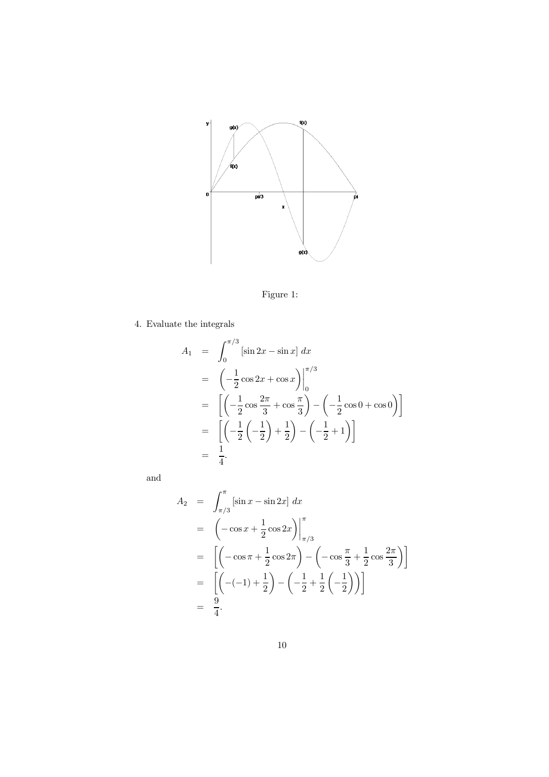

Figure 1:

4. Evaluate the integrals

$$
A_1 = \int_0^{\pi/3} [\sin 2x - \sin x] dx
$$
  
=  $\left( -\frac{1}{2} \cos 2x + \cos x \right) \Big|_0^{\pi/3}$   
=  $\left[ \left( -\frac{1}{2} \cos \frac{2\pi}{3} + \cos \frac{\pi}{3} \right) - \left( -\frac{1}{2} \cos 0 + \cos 0 \right) \right]$   
=  $\left[ \left( -\frac{1}{2} \left( -\frac{1}{2} \right) + \frac{1}{2} \right) - \left( -\frac{1}{2} + 1 \right) \right]$   
=  $\frac{1}{4}.$ 

and

$$
A_2 = \int_{\pi/3}^{\pi} \left[ \sin x - \sin 2x \right] dx
$$
  
\n
$$
= \left( -\cos x + \frac{1}{2} \cos 2x \right) \Big|_{\pi/3}^{\pi}
$$
  
\n
$$
= \left[ \left( -\cos \pi + \frac{1}{2} \cos 2\pi \right) - \left( -\cos \frac{\pi}{3} + \frac{1}{2} \cos \frac{2\pi}{3} \right) \right]
$$
  
\n
$$
= \left[ \left( -(-1) + \frac{1}{2} \right) - \left( -\frac{1}{2} + \frac{1}{2} \left( -\frac{1}{2} \right) \right) \right]
$$
  
\n
$$
= \frac{9}{4}.
$$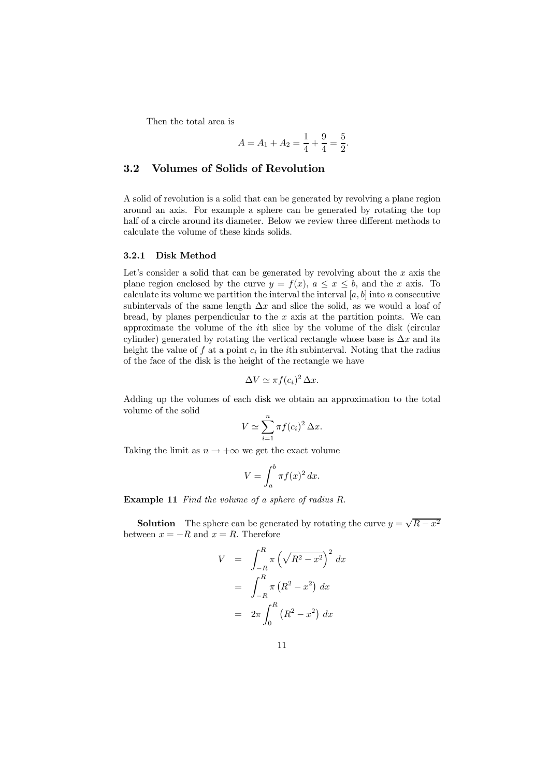Then the total area is

$$
A = A_1 + A_2 = \frac{1}{4} + \frac{9}{4} = \frac{5}{2}.
$$

### 3.2 Volumes of Solids of Revolution

A solid of revolution is a solid that can be generated by revolving a plane region around an axis. For example a sphere can be generated by rotating the top half of a circle around its diameter. Below we review three different methods to calculate the volume of these kinds solids.

#### 3.2.1 Disk Method

Let's consider a solid that can be generated by revolving about the  $x$  axis the plane region enclosed by the curve  $y = f(x)$ ,  $a \le x \le b$ , and the x axis. To calculate its volume we partition the interval the interval  $[a, b]$  into n consecutive subintervals of the same length  $\Delta x$  and slice the solid, as we would a loaf of bread, by planes perpendicular to the  $x$  axis at the partition points. We can approximate the volume of the ith slice by the volume of the disk (circular cylinder) generated by rotating the vertical rectangle whose base is  $\Delta x$  and its height the value of f at a point  $c_i$  in the *i*th subinterval. Noting that the radius of the face of the disk is the height of the rectangle we have

$$
\Delta V \simeq \pi f(c_i)^2 \, \Delta x.
$$

Adding up the volumes of each disk we obtain an approximation to the total volume of the solid

$$
V \simeq \sum_{i=1}^{n} \pi f(c_i)^2 \,\Delta x.
$$

Taking the limit as  $n \to +\infty$  we get the exact volume

$$
V = \int_{a}^{b} \pi f(x)^{2} dx.
$$

Example 11 Find the volume of a sphere of radius R.

**Solution** The sphere can be generated by rotating the curve  $y = \sqrt{R - x^2}$ between  $x = -R$  and  $x = R$ . Therefore

$$
V = \int_{-R}^{R} \pi \left(\sqrt{R^2 - x^2}\right)^2 dx
$$
  
= 
$$
\int_{-R}^{R} \pi \left(R^2 - x^2\right) dx
$$
  
= 
$$
2\pi \int_{0}^{R} \left(R^2 - x^2\right) dx
$$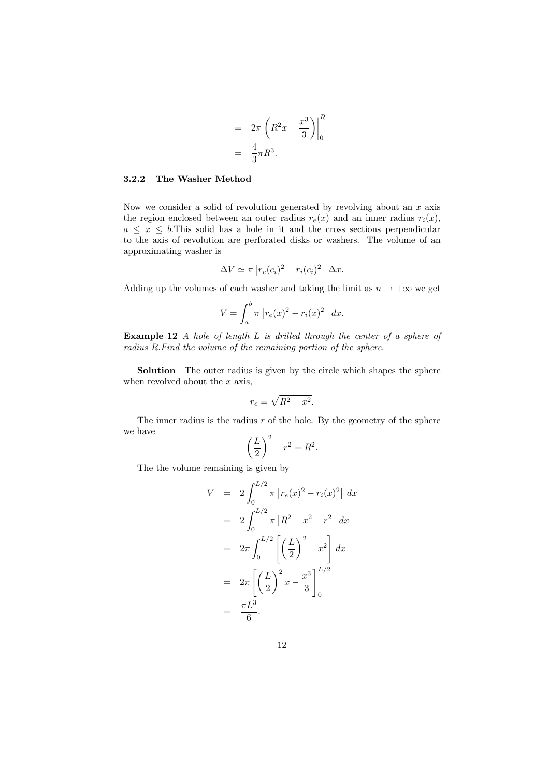$$
= 2\pi \left( R^2 x - \frac{x^3}{3} \right) \Big|_0^R
$$

$$
= \frac{4}{3} \pi R^3.
$$

### 3.2.2 The Washer Method

Now we consider a solid of revolution generated by revolving about an  $x$  axis the region enclosed between an outer radius  $r_e(x)$  and an inner radius  $r_i(x)$ ,  $a \leq x \leq b$ . This solid has a hole in it and the cross sections perpendicular to the axis of revolution are perforated disks or washers. The volume of an approximating washer is

$$
\Delta V \simeq \pi \left[ r_e(c_i)^2 - r_i(c_i)^2 \right] \Delta x.
$$

Adding up the volumes of each washer and taking the limit as  $n \to +\infty$  we get

$$
V = \int_a^b \pi \left[ r_e(x)^2 - r_i(x)^2 \right] dx.
$$

Example 12 A hole of length L is drilled through the center of a sphere of radius R.Find the volume of the remaining portion of the sphere.

Solution The outer radius is given by the circle which shapes the sphere when revolved about the  $x$  axis,

$$
r_e = \sqrt{R^2 - x^2}.
$$

The inner radius is the radius  $r$  of the hole. By the geometry of the sphere we have

$$
\left(\frac{L}{2}\right)^2 + r^2 = R^2.
$$

The the volume remaining is given by

$$
V = 2 \int_0^{L/2} \pi \left[ r_e(x)^2 - r_i(x)^2 \right] dx
$$
  
\n
$$
= 2 \int_0^{L/2} \pi \left[ R^2 - x^2 - r^2 \right] dx
$$
  
\n
$$
= 2 \pi \int_0^{L/2} \left[ \left( \frac{L}{2} \right)^2 - x^2 \right] dx
$$
  
\n
$$
= 2 \pi \left[ \left( \frac{L}{2} \right)^2 x - \frac{x^3}{3} \right]_0^{L/2}
$$
  
\n
$$
= \frac{\pi L^3}{6}.
$$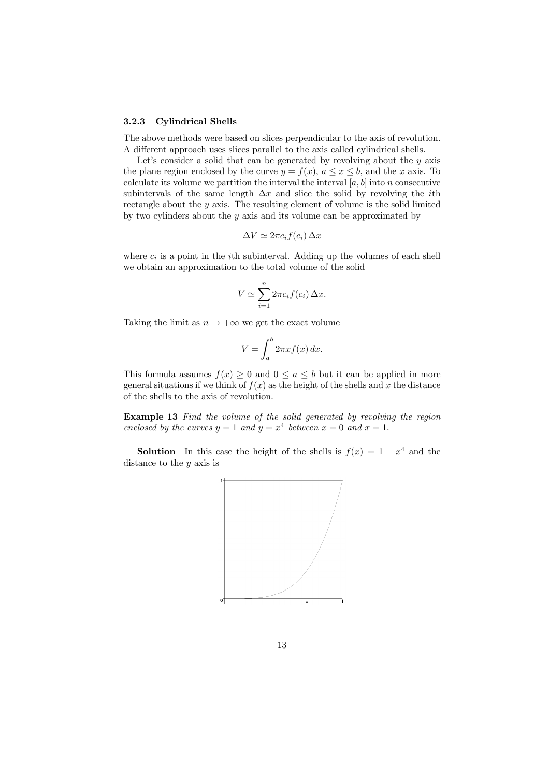#### 3.2.3 Cylindrical Shells

The above methods were based on slices perpendicular to the axis of revolution. A different approach uses slices parallel to the axis called cylindrical shells.

Let's consider a solid that can be generated by revolving about the  $y$  axis the plane region enclosed by the curve  $y = f(x)$ ,  $a \le x \le b$ , and the x axis. To calculate its volume we partition the interval the interval  $[a, b]$  into n consecutive subintervals of the same length  $\Delta x$  and slice the solid by revolving the *i*th rectangle about the y axis. The resulting element of volume is the solid limited by two cylinders about the  $y$  axis and its volume can be approximated by

$$
\Delta V \simeq 2\pi c_i f(c_i) \, \Delta x
$$

where  $c_i$  is a point in the *i*th subinterval. Adding up the volumes of each shell we obtain an approximation to the total volume of the solid

$$
V \simeq \sum_{i=1}^{n} 2\pi c_i f(c_i) \, \Delta x.
$$

Taking the limit as  $n \to +\infty$  we get the exact volume

$$
V = \int_{a}^{b} 2\pi x f(x) \, dx.
$$

This formula assumes  $f(x) \geq 0$  and  $0 \leq a \leq b$  but it can be applied in more general situations if we think of  $f(x)$  as the height of the shells and x the distance of the shells to the axis of revolution.

Example 13 Find the volume of the solid generated by revolving the region enclosed by the curves  $y = 1$  and  $y = x^4$  between  $x = 0$  and  $x = 1$ .

**Solution** In this case the height of the shells is  $f(x)=1 - x^4$  and the distance to the  $y$  axis is

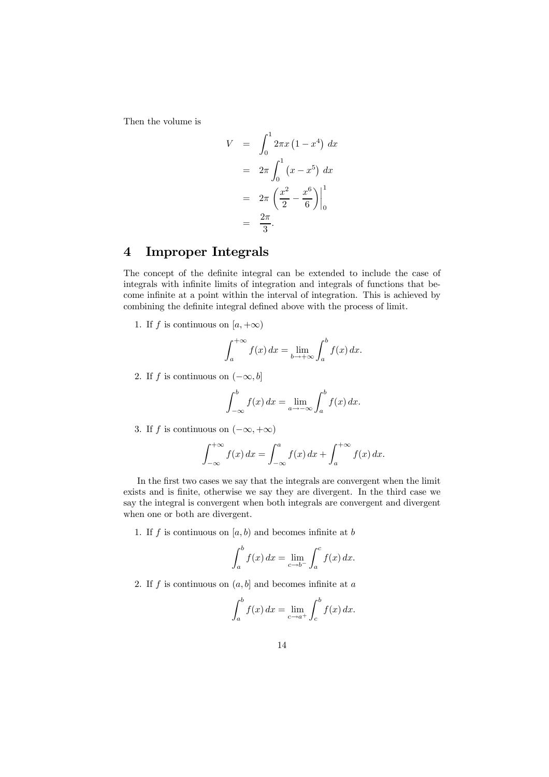Then the volume is

$$
V = \int_0^1 2\pi x (1 - x^4) dx
$$
  
=  $2\pi \int_0^1 (x - x^5) dx$   
=  $2\pi \left(\frac{x^2}{2} - \frac{x^6}{6}\right)\Big|_0^1$   
=  $\frac{2\pi}{3}$ .

# 4 Improper Integrals

The concept of the definite integral can be extended to include the case of integrals with infinite limits of integration and integrals of functions that become infinite at a point within the interval of integration. This is achieved by combining the definite integral defined above with the process of limit.

1. If f is continuous on  $[a, +\infty)$ 

$$
\int_{a}^{+\infty} f(x) dx = \lim_{b \to +\infty} \int_{a}^{b} f(x) dx.
$$

2. If f is continuous on  $(-\infty, b]$ 

$$
\int_{-\infty}^{b} f(x) dx = \lim_{a \to -\infty} \int_{a}^{b} f(x) dx.
$$

3. If f is continuous on  $(-\infty, +\infty)$ 

$$
\int_{-\infty}^{+\infty} f(x) dx = \int_{-\infty}^{a} f(x) dx + \int_{a}^{+\infty} f(x) dx.
$$

In the first two cases we say that the integrals are convergent when the limit exists and is finite, otherwise we say they are divergent. In the third case we say the integral is convergent when both integrals are convergent and divergent when one or both are divergent.

1. If f is continuous on  $[a, b]$  and becomes infinite at b

$$
\int_{a}^{b} f(x) dx = \lim_{c \to b^{-}} \int_{a}^{c} f(x) dx.
$$

2. If  $f$  is continuous on  $(a, b]$  and becomes infinite at  $a$ 

$$
\int_a^b f(x) dx = \lim_{c \to a^+} \int_c^b f(x) dx.
$$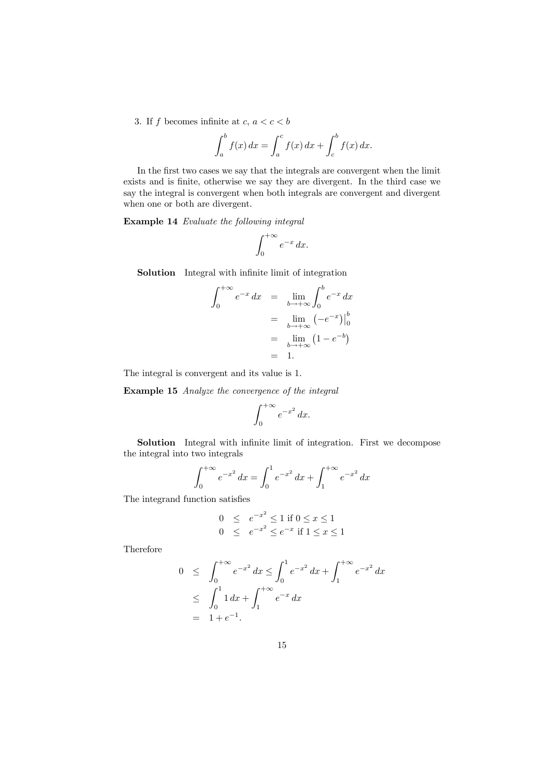3. If f becomes infinite at c,  $a < c < b$ 

$$
\int_a^b f(x) dx = \int_a^c f(x) dx + \int_c^b f(x) dx.
$$

In the first two cases we say that the integrals are convergent when the limit exists and is finite, otherwise we say they are divergent. In the third case we say the integral is convergent when both integrals are convergent and divergent when one or both are divergent.

Example 14 Evaluate the following integral

$$
\int_0^{+\infty} e^{-x} \, dx.
$$

Solution Integral with infinite limit of integration

$$
\int_0^{+\infty} e^{-x} dx = \lim_{b \to +\infty} \int_0^b e^{-x} dx
$$

$$
= \lim_{b \to +\infty} (-e^{-x}) \Big|_0^b
$$

$$
= \lim_{b \to +\infty} (1 - e^{-b})
$$

$$
= 1.
$$

The integral is convergent and its value is 1.

Example 15 Analyze the convergence of the integral

$$
\int_0^{+\infty} e^{-x^2} \, dx.
$$

Solution Integral with infinite limit of integration. First we decompose the integral into two integrals

$$
\int_0^{+\infty} e^{-x^2} dx = \int_0^1 e^{-x^2} dx + \int_1^{+\infty} e^{-x^2} dx
$$

The integrand function satisfies

$$
0 \le e^{-x^2} \le 1 \text{ if } 0 \le x \le 1
$$
  

$$
0 \le e^{-x^2} \le e^{-x} \text{ if } 1 \le x \le 1
$$

Therefore

$$
0 \leq \int_0^{+\infty} e^{-x^2} dx \leq \int_0^1 e^{-x^2} dx + \int_1^{+\infty} e^{-x^2} dx
$$
  

$$
\leq \int_0^1 1 dx + \int_1^{+\infty} e^{-x} dx
$$
  

$$
= 1 + e^{-1}.
$$